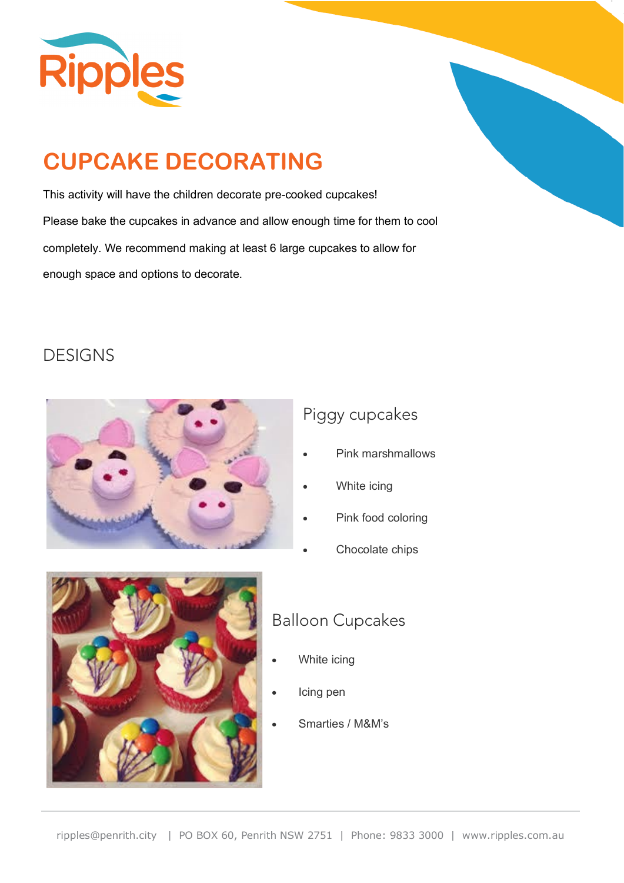

# **CUPCAKE DECORATING**

This activity will have the children decorate pre-cooked cupcakes! Please bake the cupcakes in advance and allow enough time for them to cool completely. We recommend making at least 6 large cupcakes to allow for enough space and options to decorate.

#### DESIGNS



#### Piggy cupcakes

- Pink marshmallows
- White icing
- Pink food coloring
- Chocolate chips



#### Balloon Cupcakes

- White icing
- Icing pen
- Smarties / M&M's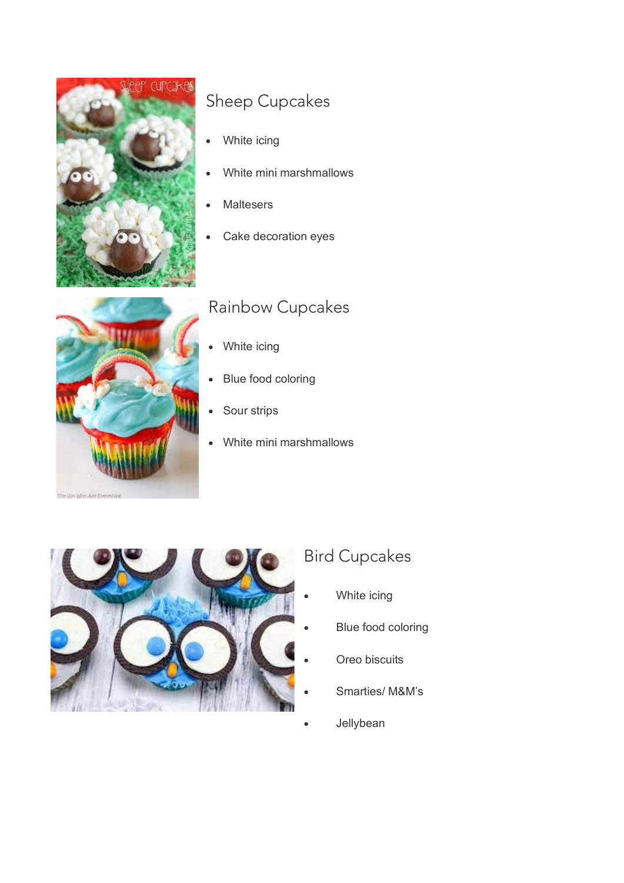

#### Sheep Cupcakes

- White icing
- White mini marshmallows
- **Maltesers**
- Cake decoration eyes

#### The Gin Who Are Everything

#### Rainbow Cupcakes

- White icing
- Blue food coloring
- Sour strips
- White mini marshmallows



### Bird Cupcakes

- White icing
- Blue food coloring
- Oreo biscuits
- Smarties/ M&M's
- **Jellybean**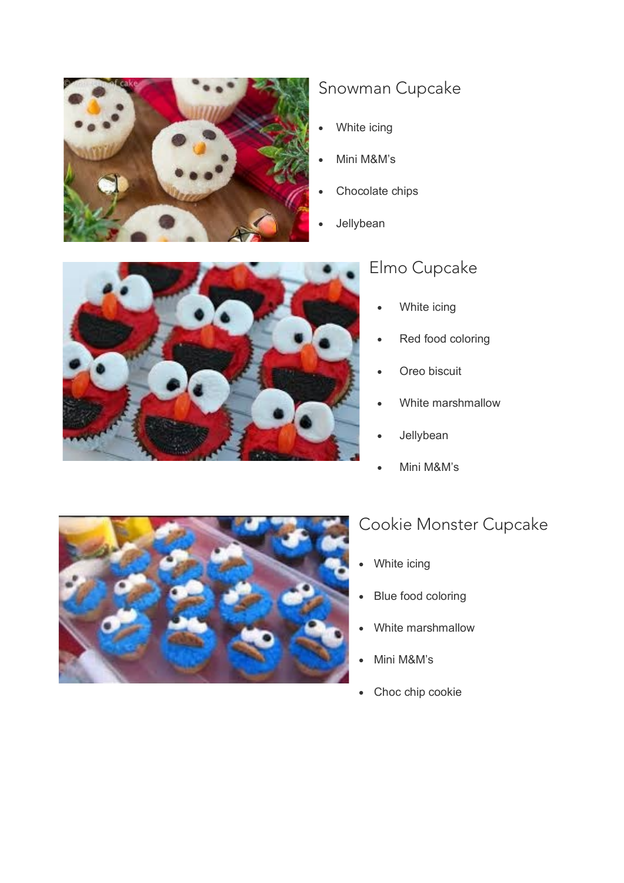

#### Snowman Cupcake

- White icing
- Mini M&M's
- Chocolate chips
- **Jellybean**



#### Elmo Cupcake

- White icing
- Red food coloring
- Oreo biscuit
- White marshmallow
- **Jellybean**
- Mini M&M's



#### Cookie Monster Cupcake

- White icing
- Blue food coloring
- White marshmallow
- Mini M&M's
- Choc chip cookie